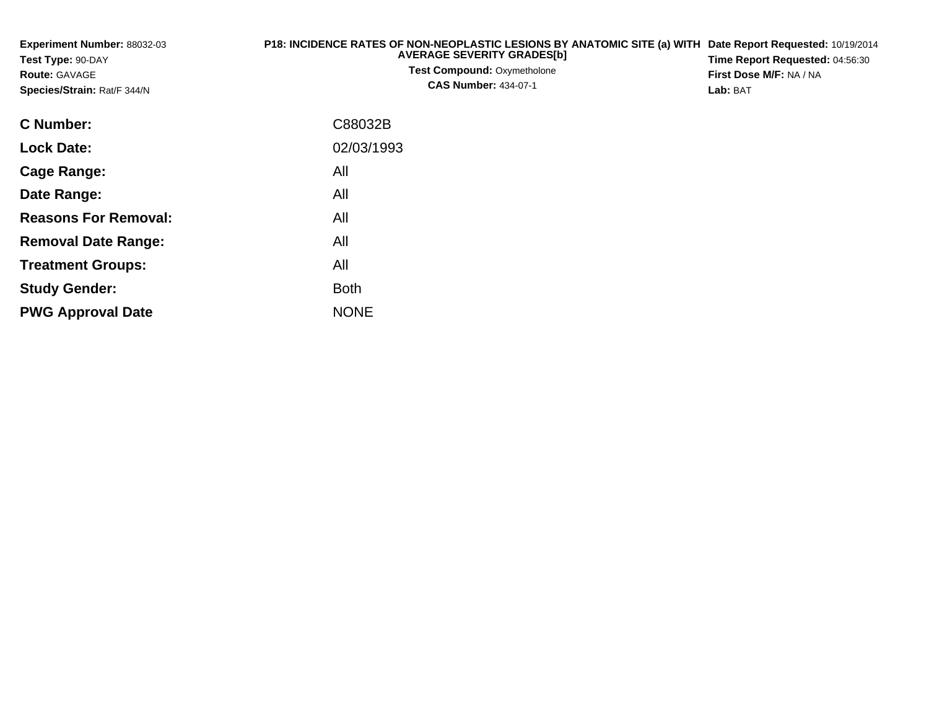| <b>Experiment Number: 88032-03</b><br>Test Type: 90-DAY<br><b>Route: GAVAGE</b><br>Species/Strain: Rat/F 344/N | P18: INCIDENCE RATES OF NON-NEOPLASTIC LESIONS BY ANATOMIC SITE (a) WITH Date Report Requested: 10/19/2014<br><b>AVERAGE SEVERITY GRADES[b]</b><br><b>Test Compound: Oxymetholone</b><br><b>CAS Number: 434-07-1</b> | Time Report Requested: 04:56:30<br>First Dose M/F: NA / NA<br>Lab: BAT |
|----------------------------------------------------------------------------------------------------------------|----------------------------------------------------------------------------------------------------------------------------------------------------------------------------------------------------------------------|------------------------------------------------------------------------|
| C Number:                                                                                                      | C88032B                                                                                                                                                                                                              |                                                                        |
| <b>Lock Date:</b>                                                                                              | 02/03/1993                                                                                                                                                                                                           |                                                                        |
| Cage Range:                                                                                                    | All                                                                                                                                                                                                                  |                                                                        |
| Date Range:                                                                                                    | All                                                                                                                                                                                                                  |                                                                        |
| <b>Reasons For Removal:</b>                                                                                    | All                                                                                                                                                                                                                  |                                                                        |
| <b>Removal Date Range:</b>                                                                                     | All                                                                                                                                                                                                                  |                                                                        |

**Treatment Groups:**

**PWG Approval Date**

**Study Gender:**

All

e NONE

Both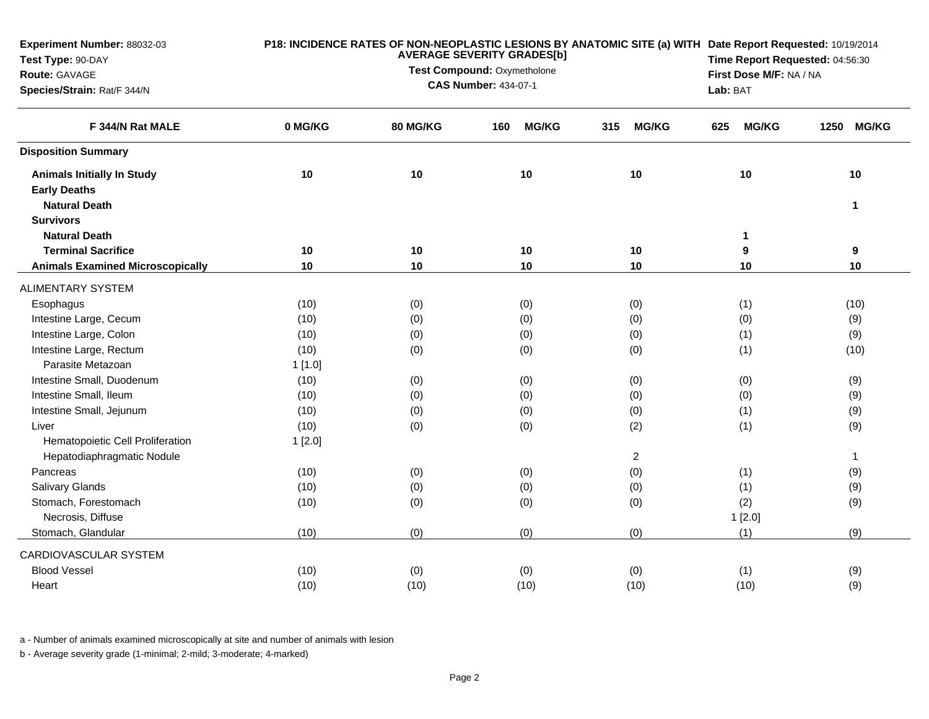| Experiment Number: 88032-03             | P18: INCIDENCE RATES OF NON-NEOPLASTIC LESIONS BY ANATOMIC SITE (a) WITH Date Report Requested: 10/19/2014<br><b>AVERAGE SEVERITY GRADES[b]</b> |                                                            |                                 |                         |                     |                      |  |  |
|-----------------------------------------|-------------------------------------------------------------------------------------------------------------------------------------------------|------------------------------------------------------------|---------------------------------|-------------------------|---------------------|----------------------|--|--|
| Test Type: 90-DAY                       |                                                                                                                                                 |                                                            | Time Report Requested: 04:56:30 |                         |                     |                      |  |  |
| Route: GAVAGE                           |                                                                                                                                                 | Test Compound: Oxymetholone<br><b>CAS Number: 434-07-1</b> |                                 | First Dose M/F: NA / NA |                     |                      |  |  |
| Species/Strain: Rat/F 344/N             |                                                                                                                                                 |                                                            |                                 |                         |                     | Lab: BAT             |  |  |
| F 344/N Rat MALE                        | 0 MG/KG                                                                                                                                         | 80 MG/KG                                                   | <b>MG/KG</b><br>160             | 315<br><b>MG/KG</b>     | <b>MG/KG</b><br>625 | <b>MG/KG</b><br>1250 |  |  |
| <b>Disposition Summary</b>              |                                                                                                                                                 |                                                            |                                 |                         |                     |                      |  |  |
| <b>Animals Initially In Study</b>       | 10                                                                                                                                              | 10                                                         | 10                              | 10                      | 10                  | 10                   |  |  |
| <b>Early Deaths</b>                     |                                                                                                                                                 |                                                            |                                 |                         |                     |                      |  |  |
| <b>Natural Death</b>                    |                                                                                                                                                 |                                                            |                                 |                         |                     | 1                    |  |  |
| <b>Survivors</b>                        |                                                                                                                                                 |                                                            |                                 |                         |                     |                      |  |  |
| <b>Natural Death</b>                    |                                                                                                                                                 |                                                            |                                 |                         | 1                   |                      |  |  |
| <b>Terminal Sacrifice</b>               | 10                                                                                                                                              | 10                                                         | 10                              | 10                      | 9                   | 9                    |  |  |
| <b>Animals Examined Microscopically</b> | 10                                                                                                                                              | 10                                                         | 10                              | 10                      | 10                  | 10                   |  |  |
| <b>ALIMENTARY SYSTEM</b>                |                                                                                                                                                 |                                                            |                                 |                         |                     |                      |  |  |
| Esophagus                               | (10)                                                                                                                                            | (0)                                                        | (0)                             | (0)                     | (1)                 | (10)                 |  |  |
| Intestine Large, Cecum                  | (10)                                                                                                                                            | (0)                                                        | (0)                             | (0)                     | (0)                 | (9)                  |  |  |
| Intestine Large, Colon                  | (10)                                                                                                                                            | (0)                                                        | (0)                             | (0)                     | (1)                 | (9)                  |  |  |
| Intestine Large, Rectum                 | (10)                                                                                                                                            | (0)                                                        | (0)                             | (0)                     | (1)                 | (10)                 |  |  |
| Parasite Metazoan                       | 1[1.0]                                                                                                                                          |                                                            |                                 |                         |                     |                      |  |  |
| Intestine Small, Duodenum               | (10)                                                                                                                                            | (0)                                                        | (0)                             | (0)                     | (0)                 | (9)                  |  |  |
| Intestine Small, Ileum                  | (10)                                                                                                                                            | (0)                                                        | (0)                             | (0)                     | (0)                 | (9)                  |  |  |
| Intestine Small, Jejunum                | (10)                                                                                                                                            | (0)                                                        | (0)                             | (0)                     | (1)                 | (9)                  |  |  |
| Liver                                   | (10)                                                                                                                                            | (0)                                                        | (0)                             | (2)                     | (1)                 | (9)                  |  |  |
| Hematopoietic Cell Proliferation        | 1[2.0]                                                                                                                                          |                                                            |                                 |                         |                     |                      |  |  |
| Hepatodiaphragmatic Nodule              |                                                                                                                                                 |                                                            |                                 | $\overline{2}$          |                     | $\mathbf{1}$         |  |  |
| Pancreas                                | (10)                                                                                                                                            | (0)                                                        | (0)                             | (0)                     | (1)                 | (9)                  |  |  |
| Salivary Glands                         | (10)                                                                                                                                            | (0)                                                        | (0)                             | (0)                     | (1)                 | (9)                  |  |  |
| Stomach, Forestomach                    | (10)                                                                                                                                            | (0)                                                        | (0)                             | (0)                     | (2)                 | (9)                  |  |  |
| Necrosis, Diffuse                       |                                                                                                                                                 |                                                            |                                 |                         | 1[2.0]              |                      |  |  |
| Stomach, Glandular                      | (10)                                                                                                                                            | (0)                                                        | (0)                             | (0)                     | (1)                 | (9)                  |  |  |
| CARDIOVASCULAR SYSTEM                   |                                                                                                                                                 |                                                            |                                 |                         |                     |                      |  |  |
| <b>Blood Vessel</b>                     | (10)                                                                                                                                            | (0)                                                        | (0)                             | (0)                     | (1)                 | (9)                  |  |  |
| Heart                                   | (10)                                                                                                                                            | (10)                                                       | (10)                            | (10)                    | (10)                | (9)                  |  |  |
|                                         |                                                                                                                                                 |                                                            |                                 |                         |                     |                      |  |  |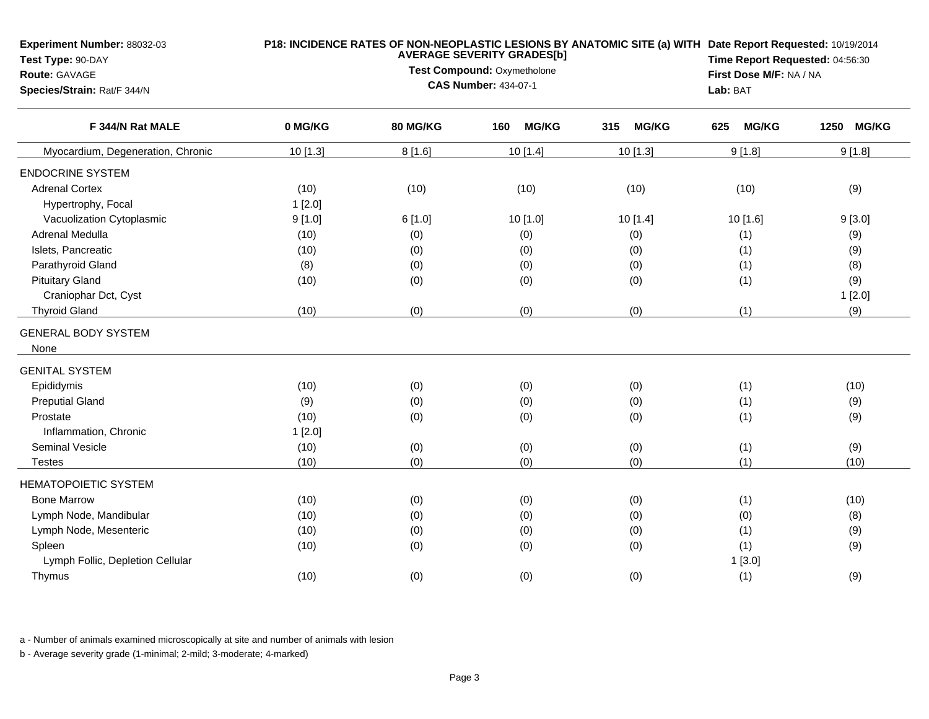| <b>Experiment Number: 88032-03</b><br>Test Type: 90-DAY<br><b>Route: GAVAGE</b><br>Species/Strain: Rat/F 344/N |         | <b>AVERAGE SEVERITY GRADES[b]</b><br>Test Compound: Oxymetholone<br><b>CAS Number: 434-07-1</b> | Lab: BAT            | P18: INCIDENCE RATES OF NON-NEOPLASTIC LESIONS BY ANATOMIC SITE (a) WITH Date Report Requested: 10/19/2014<br>Time Report Requested: 04:56:30<br>First Dose M/F: NA / NA |                     |            |
|----------------------------------------------------------------------------------------------------------------|---------|-------------------------------------------------------------------------------------------------|---------------------|--------------------------------------------------------------------------------------------------------------------------------------------------------------------------|---------------------|------------|
| F 344/N Rat MALE                                                                                               | 0 MG/KG | <b>80 MG/KG</b>                                                                                 | <b>MG/KG</b><br>160 | 315<br><b>MG/KG</b>                                                                                                                                                      | <b>MG/KG</b><br>625 | 1250 MG/KG |
| Myocardium, Degeneration, Chronic                                                                              | 10[1.3] | 8[1.6]                                                                                          | 10 [1.4]            | 10 [1.3]                                                                                                                                                                 | 9[1.8]              | 9[1.8]     |
| <b>ENDOCRINE SYSTEM</b>                                                                                        |         |                                                                                                 |                     |                                                                                                                                                                          |                     |            |
| <b>Adrenal Cortex</b>                                                                                          | (10)    | (10)                                                                                            | (10)                | (10)                                                                                                                                                                     | (10)                | (9)        |
| Hypertrophy, Focal                                                                                             | 1[2.0]  |                                                                                                 |                     |                                                                                                                                                                          |                     |            |
| Vacuolization Cytoplasmic                                                                                      | 9[1.0]  | 6[1.0]                                                                                          | 10 [1.0]            | 10[1.4]                                                                                                                                                                  | 10[1.6]             | 9[3.0]     |
| Adrenal Medulla                                                                                                | (10)    | (0)                                                                                             | (0)                 | (0)                                                                                                                                                                      | (1)                 | (9)        |
| Islets, Pancreatic                                                                                             | (10)    | (0)                                                                                             | (0)                 | (0)                                                                                                                                                                      | (1)                 | (9)        |
| Parathyroid Gland                                                                                              | (8)     | (0)                                                                                             | (0)                 | (0)                                                                                                                                                                      | (1)                 | (8)        |
| <b>Pituitary Gland</b>                                                                                         | (10)    | (0)                                                                                             | (0)                 | (0)                                                                                                                                                                      | (1)                 | (9)        |
| Craniophar Dct, Cyst                                                                                           |         |                                                                                                 |                     |                                                                                                                                                                          |                     | 1[2.0]     |
| <b>Thyroid Gland</b>                                                                                           | (10)    | (0)                                                                                             | (0)                 | (0)                                                                                                                                                                      | (1)                 | (9)        |
| <b>GENERAL BODY SYSTEM</b>                                                                                     |         |                                                                                                 |                     |                                                                                                                                                                          |                     |            |
| None                                                                                                           |         |                                                                                                 |                     |                                                                                                                                                                          |                     |            |
| <b>GENITAL SYSTEM</b>                                                                                          |         |                                                                                                 |                     |                                                                                                                                                                          |                     |            |
| Epididymis                                                                                                     | (10)    | (0)                                                                                             | (0)                 | (0)                                                                                                                                                                      | (1)                 | (10)       |
| <b>Preputial Gland</b>                                                                                         | (9)     | (0)                                                                                             | (0)                 | (0)                                                                                                                                                                      | (1)                 | (9)        |
| Prostate                                                                                                       | (10)    | (0)                                                                                             | (0)                 | (0)                                                                                                                                                                      | (1)                 | (9)        |
| Inflammation, Chronic                                                                                          | 1[2.0]  |                                                                                                 |                     |                                                                                                                                                                          |                     |            |
| <b>Seminal Vesicle</b>                                                                                         | (10)    | (0)                                                                                             | (0)                 | (0)                                                                                                                                                                      | (1)                 | (9)        |
| <b>Testes</b>                                                                                                  | (10)    | (0)                                                                                             | (0)                 | (0)                                                                                                                                                                      | (1)                 | (10)       |
| <b>HEMATOPOIETIC SYSTEM</b>                                                                                    |         |                                                                                                 |                     |                                                                                                                                                                          |                     |            |
| <b>Bone Marrow</b>                                                                                             | (10)    | (0)                                                                                             | (0)                 | (0)                                                                                                                                                                      | (1)                 | (10)       |
| Lymph Node, Mandibular                                                                                         | (10)    | (0)                                                                                             | (0)                 | (0)                                                                                                                                                                      | (0)                 | (8)        |
| Lymph Node, Mesenteric                                                                                         | (10)    | (0)                                                                                             | (0)                 | (0)                                                                                                                                                                      | (1)                 | (9)        |
| Spleen                                                                                                         | (10)    | (0)                                                                                             | (0)                 | (0)                                                                                                                                                                      | (1)                 | (9)        |
| Lymph Follic, Depletion Cellular                                                                               |         |                                                                                                 |                     |                                                                                                                                                                          | 1[3.0]              |            |
| Thymus                                                                                                         | (10)    | (0)                                                                                             | (0)                 | (0)                                                                                                                                                                      | (1)                 | (9)        |
|                                                                                                                |         |                                                                                                 |                     |                                                                                                                                                                          |                     |            |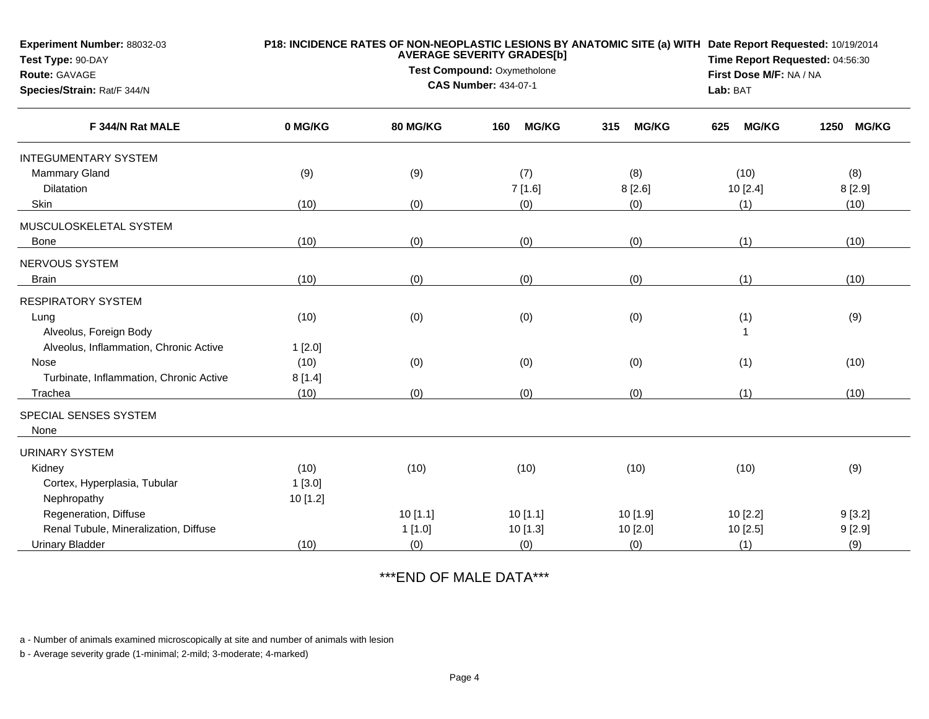| Experiment Number: 88032-03<br>Test Type: 90-DAY |          | <b>AVERAGE SEVERITY GRADES[b]</b><br>Test Compound: Oxymetholone | P18: INCIDENCE RATES OF NON-NEOPLASTIC LESIONS BY ANATOMIC SITE (a) WITH Date Report Requested: 10/19/2014<br>Time Report Requested: 04:56:30 |                     |                     |                      |
|--------------------------------------------------|----------|------------------------------------------------------------------|-----------------------------------------------------------------------------------------------------------------------------------------------|---------------------|---------------------|----------------------|
| Route: GAVAGE<br>Species/Strain: Rat/F 344/N     |          | <b>CAS Number: 434-07-1</b>                                      | First Dose M/F: NA / NA<br>Lab: BAT                                                                                                           |                     |                     |                      |
| F 344/N Rat MALE                                 | 0 MG/KG  | <b>80 MG/KG</b>                                                  | <b>MG/KG</b><br>160                                                                                                                           | 315<br><b>MG/KG</b> | <b>MG/KG</b><br>625 | 1250<br><b>MG/KG</b> |
| <b>INTEGUMENTARY SYSTEM</b>                      |          |                                                                  |                                                                                                                                               |                     |                     |                      |
| <b>Mammary Gland</b>                             | (9)      | (9)                                                              | (7)                                                                                                                                           | (8)                 | (10)                | (8)                  |
| Dilatation                                       |          |                                                                  | 7[1.6]                                                                                                                                        | 8[2.6]              | 10 [2.4]            | 8 [2.9]              |
| Skin                                             | (10)     | (0)                                                              | (0)                                                                                                                                           | (0)                 | (1)                 | (10)                 |
| MUSCULOSKELETAL SYSTEM                           |          |                                                                  |                                                                                                                                               |                     |                     |                      |
| <b>Bone</b>                                      | (10)     | (0)                                                              | (0)                                                                                                                                           | (0)                 | (1)                 | (10)                 |
| NERVOUS SYSTEM                                   |          |                                                                  |                                                                                                                                               |                     |                     |                      |
| <b>Brain</b>                                     | (10)     | (0)                                                              | (0)                                                                                                                                           | (0)                 | (1)                 | (10)                 |
| <b>RESPIRATORY SYSTEM</b>                        |          |                                                                  |                                                                                                                                               |                     |                     |                      |
| Lung                                             | (10)     | (0)                                                              | (0)                                                                                                                                           | (0)                 | (1)                 | (9)                  |
| Alveolus, Foreign Body                           |          |                                                                  |                                                                                                                                               |                     |                     |                      |
| Alveolus, Inflammation, Chronic Active           | 1[2.0]   |                                                                  |                                                                                                                                               |                     |                     |                      |
| Nose                                             | (10)     | (0)                                                              | (0)                                                                                                                                           | (0)                 | (1)                 | (10)                 |
| Turbinate, Inflammation, Chronic Active          | 8[1.4]   |                                                                  |                                                                                                                                               |                     |                     |                      |
| Trachea                                          | (10)     | (0)                                                              | (0)                                                                                                                                           | (0)                 | (1)                 | (10)                 |
| SPECIAL SENSES SYSTEM<br>None                    |          |                                                                  |                                                                                                                                               |                     |                     |                      |
| <b>URINARY SYSTEM</b>                            |          |                                                                  |                                                                                                                                               |                     |                     |                      |
| Kidney                                           | (10)     | (10)                                                             | (10)                                                                                                                                          | (10)                | (10)                | (9)                  |
| Cortex, Hyperplasia, Tubular                     | 1[3.0]   |                                                                  |                                                                                                                                               |                     |                     |                      |
| Nephropathy                                      | 10 [1.2] |                                                                  |                                                                                                                                               |                     |                     |                      |
| Regeneration, Diffuse                            |          | 10[1.1]                                                          | 10[1.1]                                                                                                                                       | 10 [1.9]            | 10 [2.2]            | 9[3.2]               |
| Renal Tubule, Mineralization, Diffuse            |          | 1[1.0]                                                           | 10 [1.3]                                                                                                                                      | 10 [2.0]            | 10[2.5]             | 9[2.9]               |
| <b>Urinary Bladder</b>                           | (10)     | (0)                                                              | (0)                                                                                                                                           | (0)                 | (1)                 | (9)                  |

\*\*\*END OF MALE DATA\*\*\*

a - Number of animals examined microscopically at site and number of animals with lesion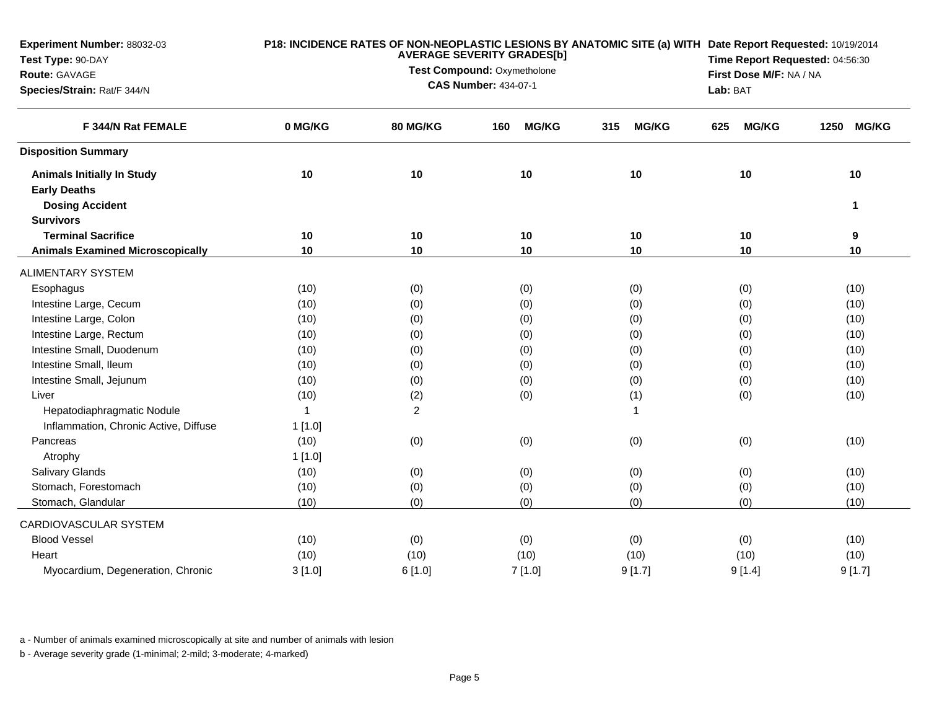| Experiment Number: 88032-03             |                | P18: INCIDENCE RATES OF NON-NEOPLASTIC LESIONS BY ANATOMIC SITE (a) WITH Date Report Requested: 10/19/2014<br>Time Report Requested: 04:56:30 |                                                            |                     |                     |                         |  |  |
|-----------------------------------------|----------------|-----------------------------------------------------------------------------------------------------------------------------------------------|------------------------------------------------------------|---------------------|---------------------|-------------------------|--|--|
| Test Type: 90-DAY                       |                |                                                                                                                                               |                                                            |                     |                     |                         |  |  |
| Route: GAVAGE                           |                |                                                                                                                                               | Test Compound: Oxymetholone<br><b>CAS Number: 434-07-1</b> |                     |                     | First Dose M/F: NA / NA |  |  |
| Species/Strain: Rat/F 344/N             |                |                                                                                                                                               |                                                            |                     | Lab: BAT            |                         |  |  |
| F 344/N Rat FEMALE                      | 0 MG/KG        | 80 MG/KG                                                                                                                                      | <b>MG/KG</b><br>160                                        | 315<br><b>MG/KG</b> | <b>MG/KG</b><br>625 | 1250<br><b>MG/KG</b>    |  |  |
| <b>Disposition Summary</b>              |                |                                                                                                                                               |                                                            |                     |                     |                         |  |  |
| <b>Animals Initially In Study</b>       | 10             | 10                                                                                                                                            | 10                                                         | 10                  | 10                  | 10                      |  |  |
| <b>Early Deaths</b>                     |                |                                                                                                                                               |                                                            |                     |                     |                         |  |  |
| <b>Dosing Accident</b>                  |                |                                                                                                                                               |                                                            |                     |                     | $\mathbf 1$             |  |  |
| <b>Survivors</b>                        |                |                                                                                                                                               |                                                            |                     |                     |                         |  |  |
| <b>Terminal Sacrifice</b>               | 10             | 10                                                                                                                                            | 10                                                         | 10                  | 10                  | 9                       |  |  |
| <b>Animals Examined Microscopically</b> | 10             | 10                                                                                                                                            | 10                                                         | 10                  | 10                  | 10                      |  |  |
| <b>ALIMENTARY SYSTEM</b>                |                |                                                                                                                                               |                                                            |                     |                     |                         |  |  |
| Esophagus                               | (10)           | (0)                                                                                                                                           | (0)                                                        | (0)                 | (0)                 | (10)                    |  |  |
| Intestine Large, Cecum                  | (10)           | (0)                                                                                                                                           | (0)                                                        | (0)                 | (0)                 | (10)                    |  |  |
| Intestine Large, Colon                  | (10)           | (0)                                                                                                                                           | (0)                                                        | (0)                 | (0)                 | (10)                    |  |  |
| Intestine Large, Rectum                 | (10)           | (0)                                                                                                                                           | (0)                                                        | (0)                 | (0)                 | (10)                    |  |  |
| Intestine Small, Duodenum               | (10)           | (0)                                                                                                                                           | (0)                                                        | (0)                 | (0)                 | (10)                    |  |  |
| Intestine Small, Ileum                  | (10)           | (0)                                                                                                                                           | (0)                                                        | (0)                 | (0)                 | (10)                    |  |  |
| Intestine Small, Jejunum                | (10)           | (0)                                                                                                                                           | (0)                                                        | (0)                 | (0)                 | (10)                    |  |  |
| Liver                                   | (10)           | (2)                                                                                                                                           | (0)                                                        | (1)                 | (0)                 | (10)                    |  |  |
| Hepatodiaphragmatic Nodule              | $\overline{1}$ | $\overline{c}$                                                                                                                                |                                                            | $\mathbf{1}$        |                     |                         |  |  |
| Inflammation, Chronic Active, Diffuse   | 1[1.0]         |                                                                                                                                               |                                                            |                     |                     |                         |  |  |
| Pancreas                                | (10)           | (0)                                                                                                                                           | (0)                                                        | (0)                 | (0)                 | (10)                    |  |  |
| Atrophy                                 | 1[1.0]         |                                                                                                                                               |                                                            |                     |                     |                         |  |  |
| <b>Salivary Glands</b>                  | (10)           | (0)                                                                                                                                           | (0)                                                        | (0)                 | (0)                 | (10)                    |  |  |
| Stomach, Forestomach                    | (10)           | (0)                                                                                                                                           | (0)                                                        | (0)                 | (0)                 | (10)                    |  |  |
| Stomach, Glandular                      | (10)           | (0)                                                                                                                                           | (0)                                                        | (0)                 | (0)                 | (10)                    |  |  |
| CARDIOVASCULAR SYSTEM                   |                |                                                                                                                                               |                                                            |                     |                     |                         |  |  |
| <b>Blood Vessel</b>                     | (10)           | (0)                                                                                                                                           | (0)                                                        | (0)                 | (0)                 | (10)                    |  |  |
| Heart                                   | (10)           | (10)                                                                                                                                          | (10)                                                       | (10)                | (10)                | (10)                    |  |  |
| Myocardium, Degeneration, Chronic       | 3[1.0]         | 6[1.0]                                                                                                                                        | 7[1.0]                                                     | 9[1.7]              | 9[1.4]              | 9[1.7]                  |  |  |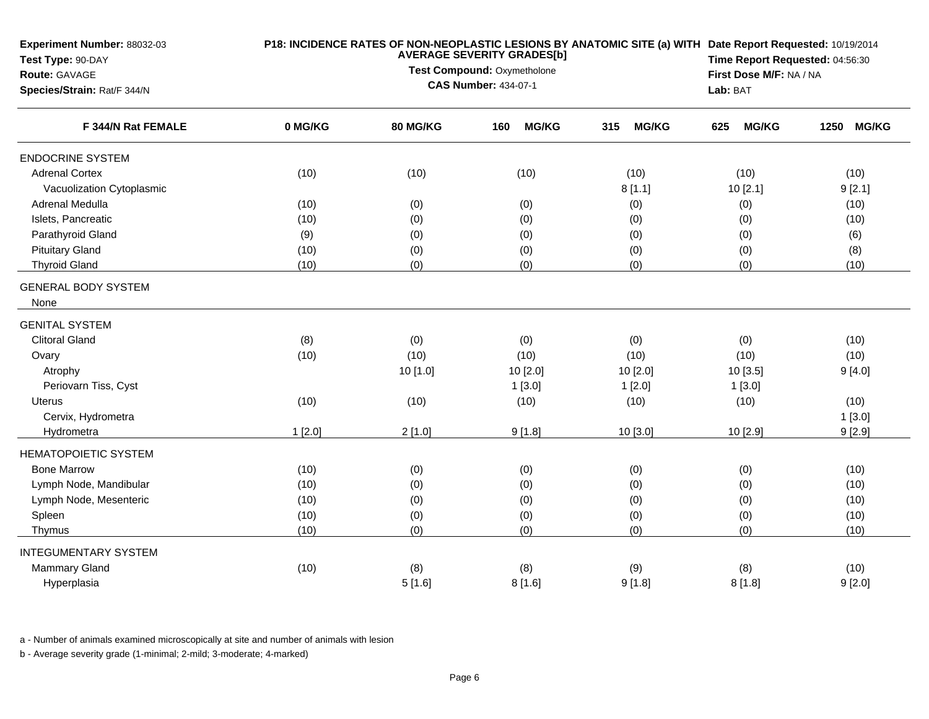| Experiment Number: 88032-03                       |         | P18: INCIDENCE RATES OF NON-NEOPLASTIC LESIONS BY ANATOMIC SITE (a) WITH Date Report Requested: 10/19/2014<br>Time Report Requested: 04:56:30 |                                                            |                     |                     |                         |  |  |
|---------------------------------------------------|---------|-----------------------------------------------------------------------------------------------------------------------------------------------|------------------------------------------------------------|---------------------|---------------------|-------------------------|--|--|
| Test Type: 90-DAY                                 |         |                                                                                                                                               |                                                            |                     |                     |                         |  |  |
| Route: GAVAGE                                     |         |                                                                                                                                               | Test Compound: Oxymetholone<br><b>CAS Number: 434-07-1</b> |                     |                     | First Dose M/F: NA / NA |  |  |
| Species/Strain: Rat/F 344/N<br>F 344/N Rat FEMALE |         |                                                                                                                                               |                                                            |                     | Lab: BAT            |                         |  |  |
|                                                   | 0 MG/KG | 80 MG/KG                                                                                                                                      | <b>MG/KG</b><br>160                                        | 315<br><b>MG/KG</b> | <b>MG/KG</b><br>625 | <b>MG/KG</b><br>1250    |  |  |
| <b>ENDOCRINE SYSTEM</b>                           |         |                                                                                                                                               |                                                            |                     |                     |                         |  |  |
| <b>Adrenal Cortex</b>                             | (10)    | (10)                                                                                                                                          | (10)                                                       | (10)                | (10)                | (10)                    |  |  |
| Vacuolization Cytoplasmic                         |         |                                                                                                                                               |                                                            | 8[1.1]              | 10 [2.1]            | 9[2.1]                  |  |  |
| Adrenal Medulla                                   | (10)    | (0)                                                                                                                                           | (0)                                                        | (0)                 | (0)                 | (10)                    |  |  |
| Islets, Pancreatic                                | (10)    | (0)                                                                                                                                           | (0)                                                        | (0)                 | (0)                 | (10)                    |  |  |
| Parathyroid Gland                                 | (9)     | (0)                                                                                                                                           | (0)                                                        | (0)                 | (0)                 | (6)                     |  |  |
| <b>Pituitary Gland</b>                            | (10)    | (0)                                                                                                                                           | (0)                                                        | (0)                 | (0)                 | (8)                     |  |  |
| <b>Thyroid Gland</b>                              | (10)    | (0)                                                                                                                                           | (0)                                                        | (0)                 | (0)                 | (10)                    |  |  |
| <b>GENERAL BODY SYSTEM</b>                        |         |                                                                                                                                               |                                                            |                     |                     |                         |  |  |
| None                                              |         |                                                                                                                                               |                                                            |                     |                     |                         |  |  |
| <b>GENITAL SYSTEM</b>                             |         |                                                                                                                                               |                                                            |                     |                     |                         |  |  |
| <b>Clitoral Gland</b>                             | (8)     | (0)                                                                                                                                           | (0)                                                        | (0)                 | (0)                 | (10)                    |  |  |
| Ovary                                             | (10)    | (10)                                                                                                                                          | (10)                                                       | (10)                | (10)                | (10)                    |  |  |
| Atrophy                                           |         | 10 [1.0]                                                                                                                                      | 10 [2.0]                                                   | 10 [2.0]            | 10 [3.5]            | 9[4.0]                  |  |  |
| Periovarn Tiss, Cyst                              |         |                                                                                                                                               | 1[3.0]                                                     | 1[2.0]              | 1[3.0]              |                         |  |  |
| Uterus                                            | (10)    | (10)                                                                                                                                          | (10)                                                       | (10)                | (10)                | (10)                    |  |  |
| Cervix, Hydrometra                                |         |                                                                                                                                               |                                                            |                     |                     | 1[3.0]                  |  |  |
| Hydrometra                                        | 1[2.0]  | 2[1.0]                                                                                                                                        | 9[1.8]                                                     | 10 [3.0]            | 10 [2.9]            | 9[2.9]                  |  |  |
| <b>HEMATOPOIETIC SYSTEM</b>                       |         |                                                                                                                                               |                                                            |                     |                     |                         |  |  |
| <b>Bone Marrow</b>                                | (10)    | (0)                                                                                                                                           | (0)                                                        | (0)                 | (0)                 | (10)                    |  |  |
| Lymph Node, Mandibular                            | (10)    | (0)                                                                                                                                           | (0)                                                        | (0)                 | (0)                 | (10)                    |  |  |
| Lymph Node, Mesenteric                            | (10)    | (0)                                                                                                                                           | (0)                                                        | (0)                 | (0)                 | (10)                    |  |  |
| Spleen                                            | (10)    | (0)                                                                                                                                           | (0)                                                        | (0)                 | (0)                 | (10)                    |  |  |
| Thymus                                            | (10)    | (0)                                                                                                                                           | (0)                                                        | (0)                 | (0)                 | (10)                    |  |  |
| <b>INTEGUMENTARY SYSTEM</b>                       |         |                                                                                                                                               |                                                            |                     |                     |                         |  |  |
| <b>Mammary Gland</b>                              | (10)    | (8)                                                                                                                                           | (8)                                                        | (9)                 | (8)                 | (10)                    |  |  |
| Hyperplasia                                       |         | 5[1.6]                                                                                                                                        | 8[1.6]                                                     | 9[1.8]              | 8[1.8]              | 9[2.0]                  |  |  |